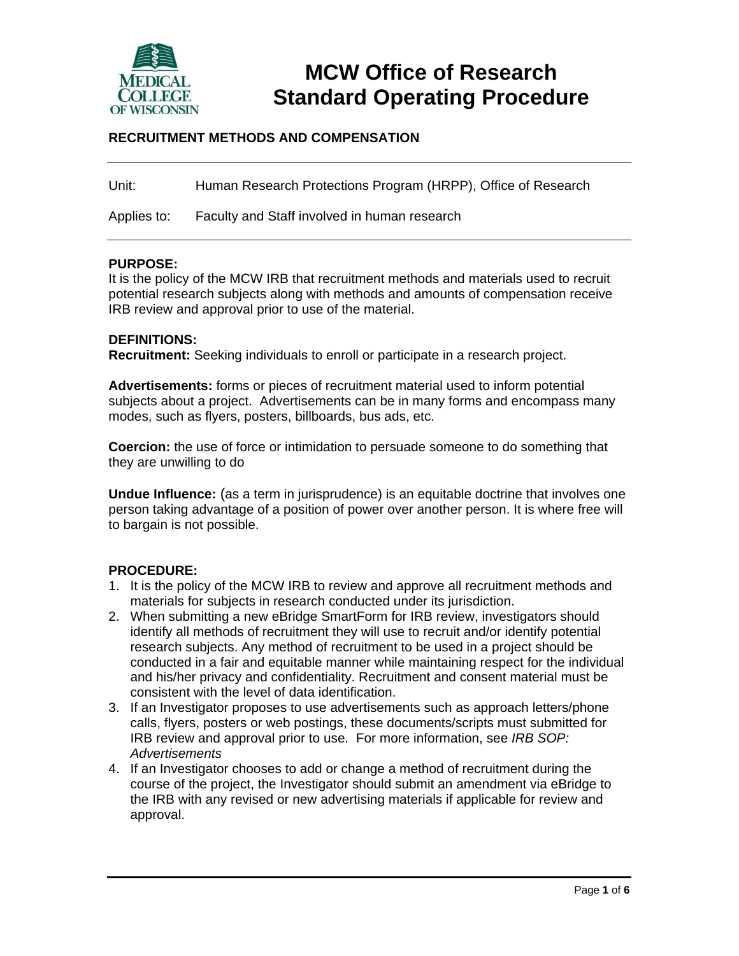

# **MCW Office of Research Standard Operating Procedure**

### **RECRUITMENT METHODS AND COMPENSATION**

Unit: Human Research Protections Program (HRPP), Office of Research

Applies to: Faculty and Staff involved in human research

#### **PURPOSE:**

It is the policy of the MCW IRB that recruitment methods and materials used to recruit potential research subjects along with methods and amounts of compensation receive IRB review and approval prior to use of the material.

#### **DEFINITIONS:**

**Recruitment:** Seeking individuals to enroll or participate in a research project.

**Advertisements:** forms or pieces of recruitment material used to inform potential subjects about a project. Advertisements can be in many forms and encompass many modes, such as flyers, posters, billboards, bus ads, etc.

**Coercion:** the use of force or intimidation to persuade someone to do something that they are unwilling to do

**Undue Influence:** (as a term in jurisprudence) is an equitable doctrine that involves one person taking advantage of a position of power over another person. It is where free will to bargain is not possible.

#### **PROCEDURE:**

- 1. It is the policy of the MCW IRB to review and approve all recruitment methods and materials for subjects in research conducted under its jurisdiction.
- 2. When submitting a new eBridge SmartForm for IRB review, investigators should identify all methods of recruitment they will use to recruit and/or identify potential research subjects. Any method of recruitment to be used in a project should be conducted in a fair and equitable manner while maintaining respect for the individual and his/her privacy and confidentiality. Recruitment and consent material must be consistent with the level of data identification.
- 3. If an Investigator proposes to use advertisements such as approach letters/phone calls, flyers, posters or web postings, these documents/scripts must submitted for IRB review and approval prior to use. For more information, see *IRB SOP: Advertisements*
- 4. If an Investigator chooses to add or change a method of recruitment during the course of the project, the Investigator should submit an amendment via eBridge to the IRB with any revised or new advertising materials if applicable for review and approval.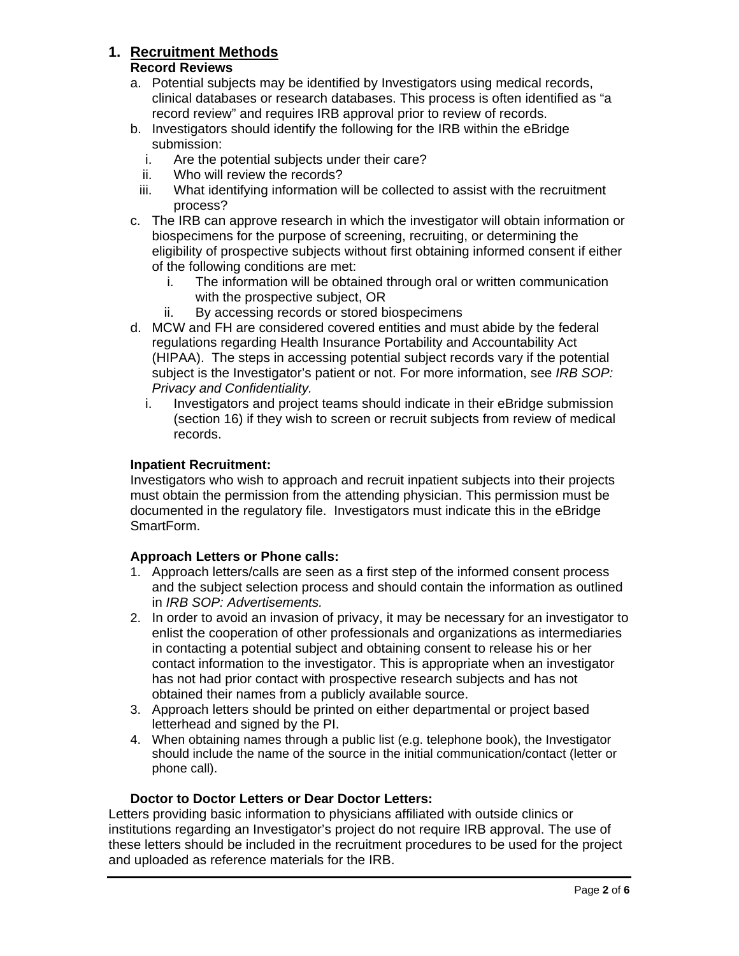# **1. Recruitment Methods**

#### **Record Reviews**

- a. Potential subjects may be identified by Investigators using medical records, clinical databases or research databases. This process is often identified as "a record review" and requires IRB approval prior to review of records.
- b. Investigators should identify the following for the IRB within the eBridge submission:
	- i. Are the potential subjects under their care?
	- ii. Who will review the records?
	- iii. What identifying information will be collected to assist with the recruitment process?
- c. The IRB can approve research in which the investigator will obtain information or biospecimens for the purpose of screening, recruiting, or determining the eligibility of prospective subjects without first obtaining informed consent if either of the following conditions are met:
	- i. The information will be obtained through oral or written communication with the prospective subject, OR
	- ii. By accessing records or stored biospecimens
- d. MCW and FH are considered covered entities and must abide by the federal regulations regarding Health Insurance Portability and Accountability Act (HIPAA). The steps in accessing potential subject records vary if the potential subject is the Investigator's patient or not. For more information, see *IRB SOP: Privacy and Confidentiality.* 
	- i. Investigators and project teams should indicate in their eBridge submission (section 16) if they wish to screen or recruit subjects from review of medical records.

#### **Inpatient Recruitment:**

Investigators who wish to approach and recruit inpatient subjects into their projects must obtain the permission from the attending physician. This permission must be documented in the regulatory file. Investigators must indicate this in the eBridge SmartForm.

#### **Approach Letters or Phone calls:**

- 1. Approach letters/calls are seen as a first step of the informed consent process and the subject selection process and should contain the information as outlined in *IRB SOP: Advertisements.*
- 2. In order to avoid an invasion of privacy, it may be necessary for an investigator to enlist the cooperation of other professionals and organizations as intermediaries in contacting a potential subject and obtaining consent to release his or her contact information to the investigator. This is appropriate when an investigator has not had prior contact with prospective research subjects and has not obtained their names from a publicly available source.
- 3. Approach letters should be printed on either departmental or project based letterhead and signed by the PI.
- 4. When obtaining names through a public list (e.g. telephone book), the Investigator should include the name of the source in the initial communication/contact (letter or phone call).

#### **Doctor to Doctor Letters or Dear Doctor Letters:**

Letters providing basic information to physicians affiliated with outside clinics or institutions regarding an Investigator's project do not require IRB approval. The use of these letters should be included in the recruitment procedures to be used for the project and uploaded as reference materials for the IRB.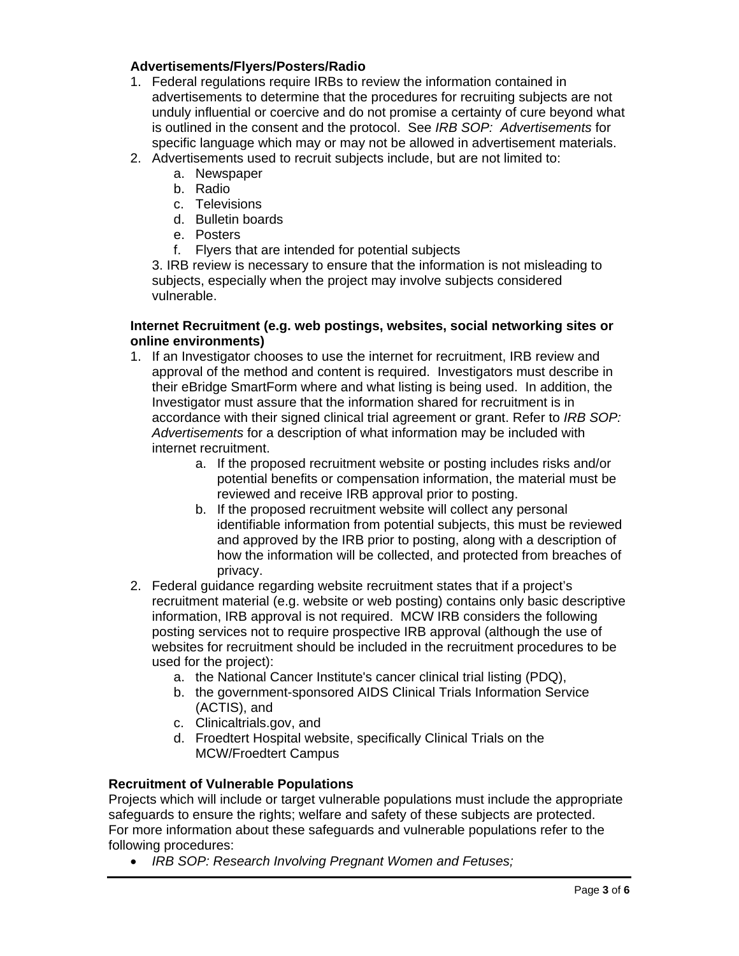#### **Advertisements/Flyers/Posters/Radio**

- 1. Federal regulations require IRBs to review the information contained in advertisements to determine that the procedures for recruiting subjects are not unduly influential or coercive and do not promise a certainty of cure beyond what is outlined in the consent and the protocol. See *IRB SOP: Advertisements* for specific language which may or may not be allowed in advertisement materials.
- 2. Advertisements used to recruit subjects include, but are not limited to:
	- a. Newspaper
	- b. Radio
	- c. Televisions
	- d. Bulletin boards
	- e. Posters
	- f. Flyers that are intended for potential subjects

3. IRB review is necessary to ensure that the information is not misleading to subjects, especially when the project may involve subjects considered vulnerable.

#### **Internet Recruitment (e.g. web postings, websites, social networking sites or online environments)**

- 1. If an Investigator chooses to use the internet for recruitment, IRB review and approval of the method and content is required. Investigators must describe in their eBridge SmartForm where and what listing is being used. In addition, the Investigator must assure that the information shared for recruitment is in accordance with their signed clinical trial agreement or grant. Refer to *IRB SOP: Advertisements* for a description of what information may be included with internet recruitment.
	- a. If the proposed recruitment website or posting includes risks and/or potential benefits or compensation information, the material must be reviewed and receive IRB approval prior to posting.
	- b. If the proposed recruitment website will collect any personal identifiable information from potential subjects, this must be reviewed and approved by the IRB prior to posting, along with a description of how the information will be collected, and protected from breaches of privacy.
- 2. Federal guidance regarding website recruitment states that if a project's recruitment material (e.g. website or web posting) contains only basic descriptive information, IRB approval is not required. MCW IRB considers the following posting services not to require prospective IRB approval (although the use of websites for recruitment should be included in the recruitment procedures to be used for the project):
	- a. the National Cancer Institute's cancer clinical trial listing (PDQ),
	- b. the government-sponsored AIDS Clinical Trials Information Service (ACTIS), and
	- c. Clinicaltrials.gov, and
	- d. Froedtert Hospital website, specifically Clinical Trials on the MCW/Froedtert Campus

#### **Recruitment of Vulnerable Populations**

Projects which will include or target vulnerable populations must include the appropriate safeguards to ensure the rights; welfare and safety of these subjects are protected. For more information about these safeguards and vulnerable populations refer to the following procedures:

*IRB SOP: Research Involving Pregnant Women and Fetuses;*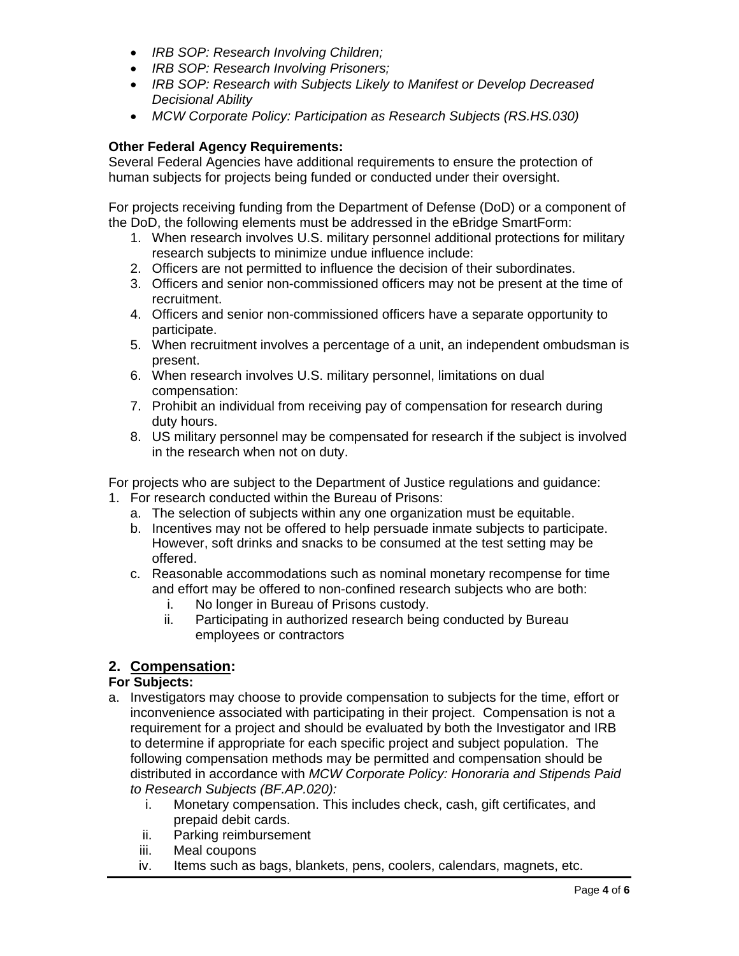- *IRB SOP: Research Involving Children;*
- *IRB SOP: Research Involving Prisoners;*
- *IRB SOP: Research with Subjects Likely to Manifest or Develop Decreased Decisional Ability*
- *MCW Corporate Policy: Participation as Research Subjects (RS.HS.030)*

## **Other Federal Agency Requirements:**

Several Federal Agencies have additional requirements to ensure the protection of human subjects for projects being funded or conducted under their oversight.

For projects receiving funding from the Department of Defense (DoD) or a component of the DoD, the following elements must be addressed in the eBridge SmartForm:

- 1. When research involves U.S. military personnel additional protections for military research subjects to minimize undue influence include:
- 2. Officers are not permitted to influence the decision of their subordinates.
- 3. Officers and senior non-commissioned officers may not be present at the time of recruitment.
- 4. Officers and senior non-commissioned officers have a separate opportunity to participate.
- 5. When recruitment involves a percentage of a unit, an independent ombudsman is present.
- 6. When research involves U.S. military personnel, limitations on dual compensation:
- 7. Prohibit an individual from receiving pay of compensation for research during duty hours.
- 8. US military personnel may be compensated for research if the subject is involved in the research when not on duty.

For projects who are subject to the Department of Justice regulations and guidance:

- 1. For research conducted within the Bureau of Prisons:
	- a. The selection of subjects within any one organization must be equitable.
	- b. Incentives may not be offered to help persuade inmate subjects to participate. However, soft drinks and snacks to be consumed at the test setting may be offered.
	- c. Reasonable accommodations such as nominal monetary recompense for time and effort may be offered to non-confined research subjects who are both:
		- i. No longer in Bureau of Prisons custody.
		- ii. Participating in authorized research being conducted by Bureau employees or contractors

# **2. Compensation:**

#### **For Subjects:**

- a. Investigators may choose to provide compensation to subjects for the time, effort or inconvenience associated with participating in their project. Compensation is not a requirement for a project and should be evaluated by both the Investigator and IRB to determine if appropriate for each specific project and subject population. The following compensation methods may be permitted and compensation should be distributed in accordance with *MCW Corporate Policy: Honoraria and Stipends Paid to Research Subjects (BF.AP.020):*
	- i. Monetary compensation. This includes check, cash, gift certificates, and prepaid debit cards.
	- ii. Parking reimbursement
	- iii. Meal coupons
	- iv. Items such as bags, blankets, pens, coolers, calendars, magnets, etc.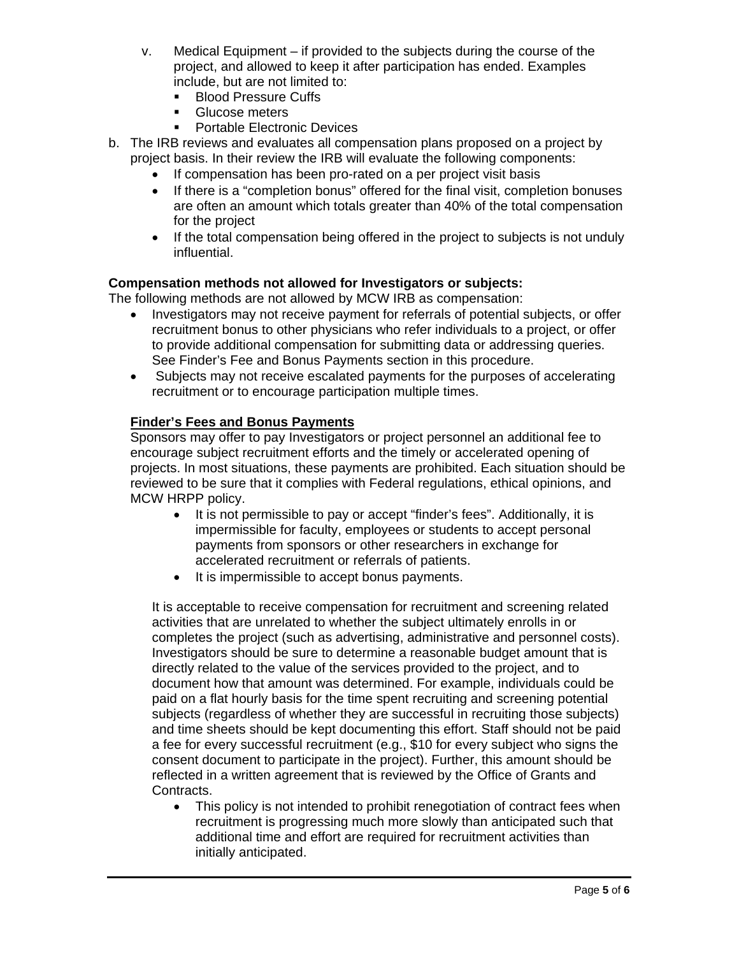- v. Medical Equipment if provided to the subjects during the course of the project, and allowed to keep it after participation has ended. Examples include, but are not limited to:
	- **Blood Pressure Cuffs**
	- **Glucose meters**
	- **Portable Electronic Devices**
- b. The IRB reviews and evaluates all compensation plans proposed on a project by project basis. In their review the IRB will evaluate the following components:
	- If compensation has been pro-rated on a per project visit basis
	- If there is a "completion bonus" offered for the final visit, completion bonuses are often an amount which totals greater than 40% of the total compensation for the project
	- If the total compensation being offered in the project to subjects is not unduly influential.

#### **Compensation methods not allowed for Investigators or subjects:**

The following methods are not allowed by MCW IRB as compensation:

- Investigators may not receive payment for referrals of potential subjects, or offer recruitment bonus to other physicians who refer individuals to a project, or offer to provide additional compensation for submitting data or addressing queries. See Finder's Fee and Bonus Payments section in this procedure.
- Subjects may not receive escalated payments for the purposes of accelerating recruitment or to encourage participation multiple times.

## **Finder's Fees and Bonus Payments**

Sponsors may offer to pay Investigators or project personnel an additional fee to encourage subject recruitment efforts and the timely or accelerated opening of projects. In most situations, these payments are prohibited. Each situation should be reviewed to be sure that it complies with Federal regulations, ethical opinions, and MCW HRPP policy.

- It is not permissible to pay or accept "finder's fees". Additionally, it is impermissible for faculty, employees or students to accept personal payments from sponsors or other researchers in exchange for accelerated recruitment or referrals of patients.
- It is impermissible to accept bonus payments.

It is acceptable to receive compensation for recruitment and screening related activities that are unrelated to whether the subject ultimately enrolls in or completes the project (such as advertising, administrative and personnel costs). Investigators should be sure to determine a reasonable budget amount that is directly related to the value of the services provided to the project, and to document how that amount was determined. For example, individuals could be paid on a flat hourly basis for the time spent recruiting and screening potential subjects (regardless of whether they are successful in recruiting those subjects) and time sheets should be kept documenting this effort. Staff should not be paid a fee for every successful recruitment (e.g., \$10 for every subject who signs the consent document to participate in the project). Further, this amount should be reflected in a written agreement that is reviewed by the Office of Grants and Contracts.

• This policy is not intended to prohibit renegotiation of contract fees when recruitment is progressing much more slowly than anticipated such that additional time and effort are required for recruitment activities than initially anticipated.